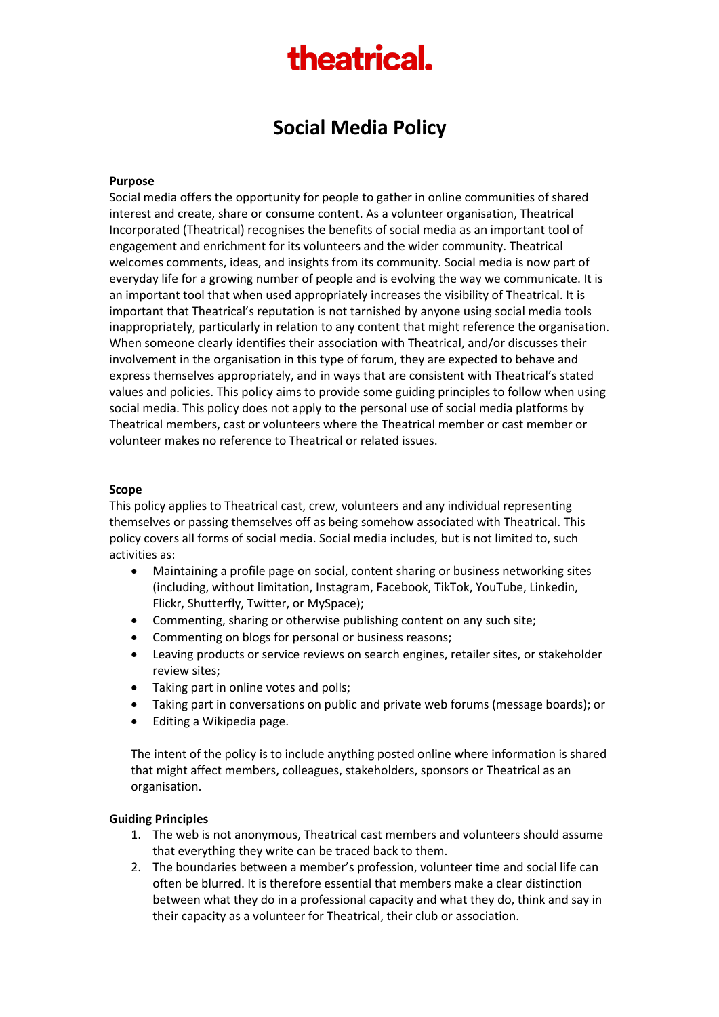# theatrical.

## **Social Media Policy**

#### **Purpose**

Social media offers the opportunity for people to gather in online communities of shared interest and create, share or consume content. As a volunteer organisation, Theatrical Incorporated (Theatrical) recognises the benefits of social media as an important tool of engagement and enrichment for its volunteers and the wider community. Theatrical welcomes comments, ideas, and insights from its community. Social media is now part of everyday life for a growing number of people and is evolving the way we communicate. It is an important tool that when used appropriately increases the visibility of Theatrical. It is important that Theatrical's reputation is not tarnished by anyone using social media tools inappropriately, particularly in relation to any content that might reference the organisation. When someone clearly identifies their association with Theatrical, and/or discusses their involvement in the organisation in this type of forum, they are expected to behave and express themselves appropriately, and in ways that are consistent with Theatrical's stated values and policies. This policy aims to provide some guiding principles to follow when using social media. This policy does not apply to the personal use of social media platforms by Theatrical members, cast or volunteers where the Theatrical member or cast member or volunteer makes no reference to Theatrical or related issues.

#### **Scope**

This policy applies to Theatrical cast, crew, volunteers and any individual representing themselves or passing themselves off as being somehow associated with Theatrical. This policy covers all forms of social media. Social media includes, but is not limited to, such activities as:

- Maintaining a profile page on social, content sharing or business networking sites (including, without limitation, Instagram, Facebook, TikTok, YouTube, Linkedin, Flickr, Shutterfly, Twitter, or MySpace);
- Commenting, sharing or otherwise publishing content on any such site;
- Commenting on blogs for personal or business reasons;
- Leaving products or service reviews on search engines, retailer sites, or stakeholder review sites;
- Taking part in online votes and polls;
- Taking part in conversations on public and private web forums (message boards); or
- Editing a Wikipedia page.

The intent of the policy is to include anything posted online where information is shared that might affect members, colleagues, stakeholders, sponsors or Theatrical as an organisation.

#### **Guiding Principles**

- 1. The web is not anonymous, Theatrical cast members and volunteers should assume that everything they write can be traced back to them.
- 2. The boundaries between a member's profession, volunteer time and social life can often be blurred. It is therefore essential that members make a clear distinction between what they do in a professional capacity and what they do, think and say in their capacity as a volunteer for Theatrical, their club or association.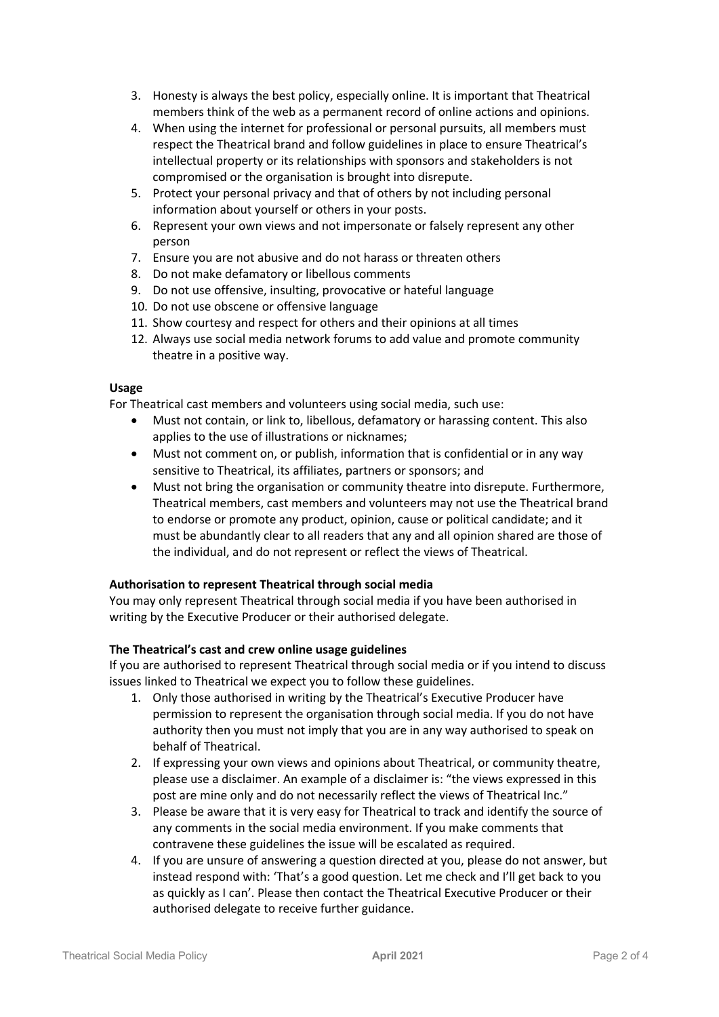- 3. Honesty is always the best policy, especially online. It is important that Theatrical members think of the web as a permanent record of online actions and opinions.
- 4. When using the internet for professional or personal pursuits, all members must respect the Theatrical brand and follow guidelines in place to ensure Theatrical's intellectual property or its relationships with sponsors and stakeholders is not compromised or the organisation is brought into disrepute.
- 5. Protect your personal privacy and that of others by not including personal information about yourself or others in your posts.
- 6. Represent your own views and not impersonate or falsely represent any other person
- 7. Ensure you are not abusive and do not harass or threaten others
- 8. Do not make defamatory or libellous comments
- 9. Do not use offensive, insulting, provocative or hateful language
- 10. Do not use obscene or offensive language
- 11. Show courtesy and respect for others and their opinions at all times
- 12. Always use social media network forums to add value and promote community theatre in a positive way.

#### **Usage**

For Theatrical cast members and volunteers using social media, such use:

- Must not contain, or link to, libellous, defamatory or harassing content. This also applies to the use of illustrations or nicknames;
- Must not comment on, or publish, information that is confidential or in any way sensitive to Theatrical, its affiliates, partners or sponsors; and
- Must not bring the organisation or community theatre into disrepute. Furthermore, Theatrical members, cast members and volunteers may not use the Theatrical brand to endorse or promote any product, opinion, cause or political candidate; and it must be abundantly clear to all readers that any and all opinion shared are those of the individual, and do not represent or reflect the views of Theatrical.

#### **Authorisation to represent Theatrical through social media**

You may only represent Theatrical through social media if you have been authorised in writing by the Executive Producer or their authorised delegate.

#### **The Theatrical's cast and crew online usage guidelines**

If you are authorised to represent Theatrical through social media or if you intend to discuss issues linked to Theatrical we expect you to follow these guidelines.

- 1. Only those authorised in writing by the Theatrical's Executive Producer have permission to represent the organisation through social media. If you do not have authority then you must not imply that you are in any way authorised to speak on behalf of Theatrical.
- 2. If expressing your own views and opinions about Theatrical, or community theatre, please use a disclaimer. An example of a disclaimer is: "the views expressed in this post are mine only and do not necessarily reflect the views of Theatrical Inc."
- 3. Please be aware that it is very easy for Theatrical to track and identify the source of any comments in the social media environment. If you make comments that contravene these guidelines the issue will be escalated as required.
- 4. If you are unsure of answering a question directed at you, please do not answer, but instead respond with: 'That's a good question. Let me check and I'll get back to you as quickly as I can'. Please then contact the Theatrical Executive Producer or their authorised delegate to receive further guidance.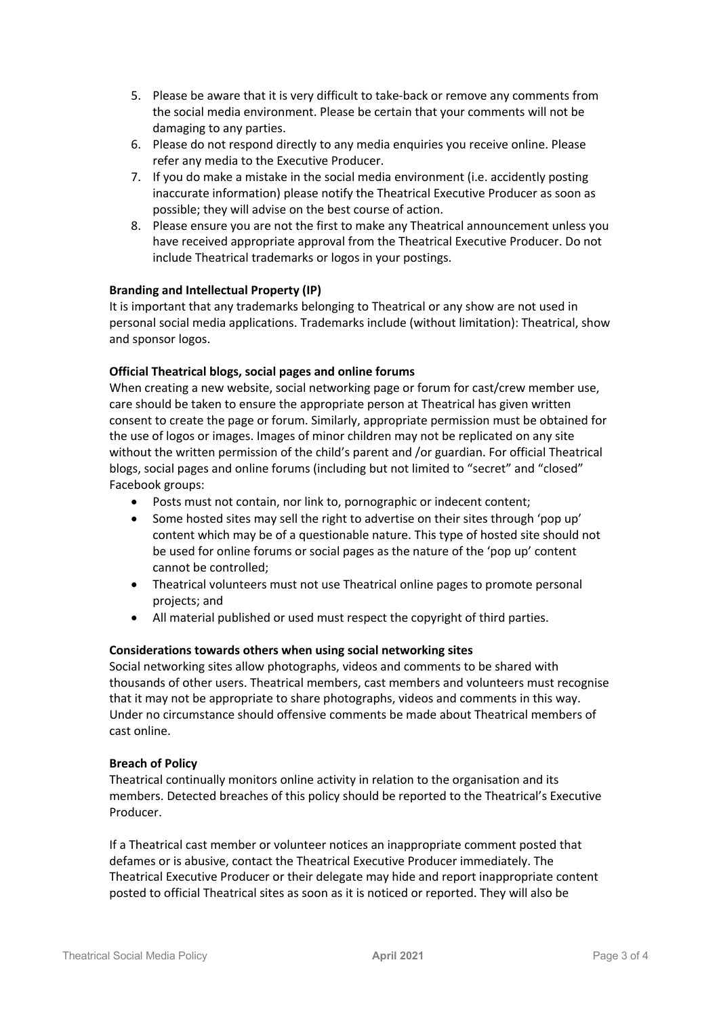- 5. Please be aware that it is very difficult to take-back or remove any comments from the social media environment. Please be certain that your comments will not be damaging to any parties.
- 6. Please do not respond directly to any media enquiries you receive online. Please refer any media to the Executive Producer.
- 7. If you do make a mistake in the social media environment (i.e. accidently posting inaccurate information) please notify the Theatrical Executive Producer as soon as possible; they will advise on the best course of action.
- 8. Please ensure you are not the first to make any Theatrical announcement unless you have received appropriate approval from the Theatrical Executive Producer. Do not include Theatrical trademarks or logos in your postings.

### **Branding and Intellectual Property (IP)**

It is important that any trademarks belonging to Theatrical or any show are not used in personal social media applications. Trademarks include (without limitation): Theatrical, show and sponsor logos.

### **Official Theatrical blogs, social pages and online forums**

When creating a new website, social networking page or forum for cast/crew member use, care should be taken to ensure the appropriate person at Theatrical has given written consent to create the page or forum. Similarly, appropriate permission must be obtained for the use of logos or images. Images of minor children may not be replicated on any site without the written permission of the child's parent and /or guardian. For official Theatrical blogs, social pages and online forums (including but not limited to "secret" and "closed" Facebook groups:

- Posts must not contain, nor link to, pornographic or indecent content;
- Some hosted sites may sell the right to advertise on their sites through 'pop up' content which may be of a questionable nature. This type of hosted site should not be used for online forums or social pages as the nature of the 'pop up' content cannot be controlled;
- Theatrical volunteers must not use Theatrical online pages to promote personal projects; and
- All material published or used must respect the copyright of third parties.

#### **Considerations towards others when using social networking sites**

Social networking sites allow photographs, videos and comments to be shared with thousands of other users. Theatrical members, cast members and volunteers must recognise that it may not be appropriate to share photographs, videos and comments in this way. Under no circumstance should offensive comments be made about Theatrical members of cast online.

#### **Breach of Policy**

Theatrical continually monitors online activity in relation to the organisation and its members. Detected breaches of this policy should be reported to the Theatrical's Executive Producer.

If a Theatrical cast member or volunteer notices an inappropriate comment posted that defames or is abusive, contact the Theatrical Executive Producer immediately. The Theatrical Executive Producer or their delegate may hide and report inappropriate content posted to official Theatrical sites as soon as it is noticed or reported. They will also be